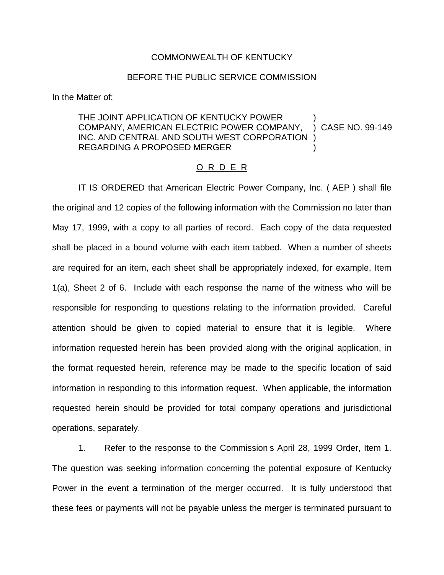## COMMONWEALTH OF KENTUCKY

## BEFORE THE PUBLIC SERVICE COMMISSION

In the Matter of:

## THE JOINT APPLICATION OF KENTUCKY POWER COMPANY, AMERICAN ELECTRIC POWER COMPANY, ) CASE NO. 99-149 INC. AND CENTRAL AND SOUTH WEST CORPORATION REGARDING A PROPOSED MERGER )

## O R D E R

IT IS ORDERED that American Electric Power Company, Inc. ( AEP ) shall file the original and 12 copies of the following information with the Commission no later than May 17, 1999, with a copy to all parties of record. Each copy of the data requested shall be placed in a bound volume with each item tabbed. When a number of sheets are required for an item, each sheet shall be appropriately indexed, for example, Item 1(a), Sheet 2 of 6. Include with each response the name of the witness who will be responsible for responding to questions relating to the information provided. Careful attention should be given to copied material to ensure that it is legible. Where information requested herein has been provided along with the original application, in the format requested herein, reference may be made to the specific location of said information in responding to this information request. When applicable, the information requested herein should be provided for total company operations and jurisdictional operations, separately.

1. Refer to the response to the Commission s April 28, 1999 Order, Item 1. The question was seeking information concerning the potential exposure of Kentucky Power in the event a termination of the merger occurred. It is fully understood that these fees or payments will not be payable unless the merger is terminated pursuant to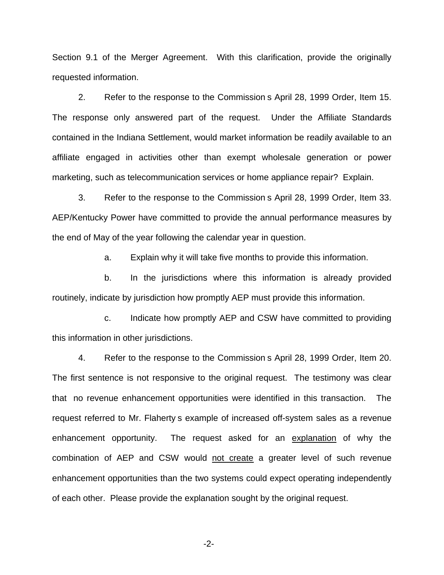Section 9.1 of the Merger Agreement. With this clarification, provide the originally requested information.

2. Refer to the response to the Commission s April 28, 1999 Order, Item 15. The response only answered part of the request. Under the Affiliate Standards contained in the Indiana Settlement, would market information be readily available to an affiliate engaged in activities other than exempt wholesale generation or power marketing, such as telecommunication services or home appliance repair? Explain.

3. Refer to the response to the Commission s April 28, 1999 Order, Item 33. AEP/Kentucky Power have committed to provide the annual performance measures by the end of May of the year following the calendar year in question.

a. Explain why it will take five months to provide this information.

b. In the jurisdictions where this information is already provided routinely, indicate by jurisdiction how promptly AEP must provide this information.

c. Indicate how promptly AEP and CSW have committed to providing this information in other jurisdictions.

4. Refer to the response to the Commission s April 28, 1999 Order, Item 20. The first sentence is not responsive to the original request. The testimony was clear that no revenue enhancement opportunities were identified in this transaction. The request referred to Mr. Flaherty s example of increased off-system sales as a revenue enhancement opportunity. The request asked for an explanation of why the combination of AEP and CSW would not create a greater level of such revenue enhancement opportunities than the two systems could expect operating independently of each other. Please provide the explanation sought by the original request.

-2-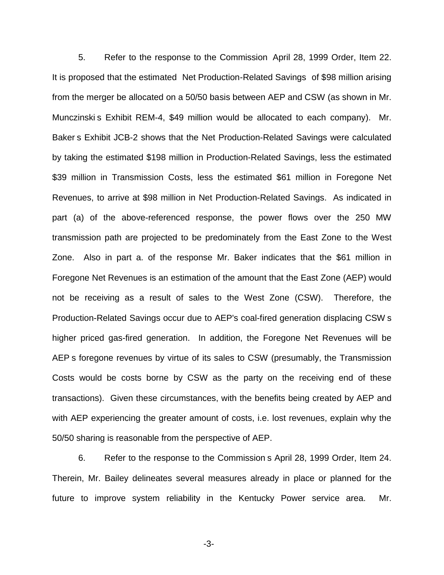5. Refer to the response to the Commission April 28, 1999 Order, Item 22. It is proposed that the estimated Net Production-Related Savings of \$98 million arising from the merger be allocated on a 50/50 basis between AEP and CSW (as shown in Mr. Munczinski s Exhibit REM-4, \$49 million would be allocated to each company). Mr. Baker s Exhibit JCB-2 shows that the Net Production-Related Savings were calculated by taking the estimated \$198 million in Production-Related Savings, less the estimated \$39 million in Transmission Costs, less the estimated \$61 million in Foregone Net Revenues, to arrive at \$98 million in Net Production-Related Savings. As indicated in part (a) of the above-referenced response, the power flows over the 250 MW transmission path are projected to be predominately from the East Zone to the West Zone. Also in part a. of the response Mr. Baker indicates that the \$61 million in Foregone Net Revenues is an estimation of the amount that the East Zone (AEP) would not be receiving as a result of sales to the West Zone (CSW). Therefore, the Production-Related Savings occur due to AEP's coal-fired generation displacing CSW s higher priced gas-fired generation. In addition, the Foregone Net Revenues will be AEP s foregone revenues by virtue of its sales to CSW (presumably, the Transmission Costs would be costs borne by CSW as the party on the receiving end of these transactions). Given these circumstances, with the benefits being created by AEP and with AEP experiencing the greater amount of costs, i.e. lost revenues, explain why the 50/50 sharing is reasonable from the perspective of AEP.

6. Refer to the response to the Commission s April 28, 1999 Order, Item 24. Therein, Mr. Bailey delineates several measures already in place or planned for the future to improve system reliability in the Kentucky Power service area. Mr.

-3-